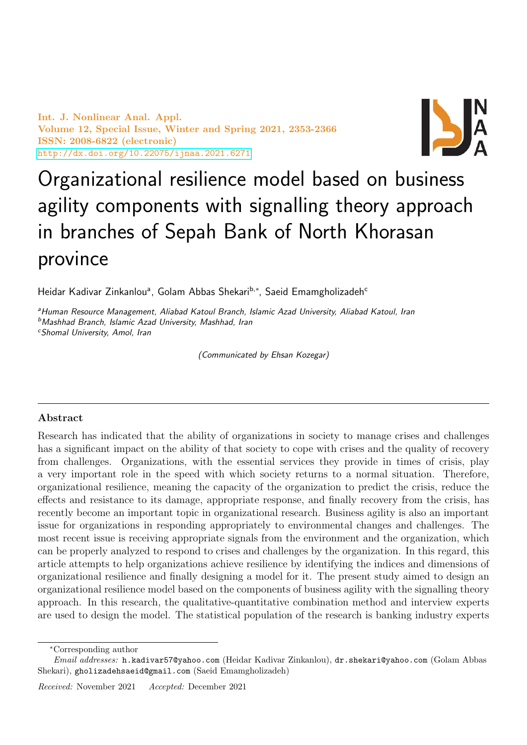Int. J. Nonlinear Anal. Appl. Volume 12, Special Issue, Winter and Spring 2021, 2353-2366 ISSN: 2008-6822 (electronic) <http://dx.doi.org/10.22075/ijnaa.2021.6271>



# Organizational resilience model based on business agility components with signalling theory approach in branches of Sepah Bank of North Khorasan province

Heidar Kadivar Zinkanlouª, Golam Abbas Shekari<sup>b,∗</sup>, Saeid Emamgholizadeh<sup>c</sup>

aHuman Resource Management, Aliabad Katoul Branch, Islamic Azad University, Aliabad Katoul, Iran <sup>b</sup>Mashhad Branch, Islamic Azad University, Mashhad, Iran

<sup>c</sup>Shomal University, Amol, Iran

(Communicated by Ehsan Kozegar)

# Abstract

Research has indicated that the ability of organizations in society to manage crises and challenges has a significant impact on the ability of that society to cope with crises and the quality of recovery from challenges. Organizations, with the essential services they provide in times of crisis, play a very important role in the speed with which society returns to a normal situation. Therefore, organizational resilience, meaning the capacity of the organization to predict the crisis, reduce the effects and resistance to its damage, appropriate response, and finally recovery from the crisis, has recently become an important topic in organizational research. Business agility is also an important issue for organizations in responding appropriately to environmental changes and challenges. The most recent issue is receiving appropriate signals from the environment and the organization, which can be properly analyzed to respond to crises and challenges by the organization. In this regard, this article attempts to help organizations achieve resilience by identifying the indices and dimensions of organizational resilience and finally designing a model for it. The present study aimed to design an organizational resilience model based on the components of business agility with the signalling theory approach. In this research, the qualitative-quantitative combination method and interview experts are used to design the model. The statistical population of the research is banking industry experts

<sup>∗</sup>Corresponding author

Email addresses: h.kadivar57@yahoo.com (Heidar Kadivar Zinkanlou), dr.shekari@yahoo.com (Golam Abbas Shekari), gholizadehsaeid@gmail.com (Saeid Emamgholizadeh)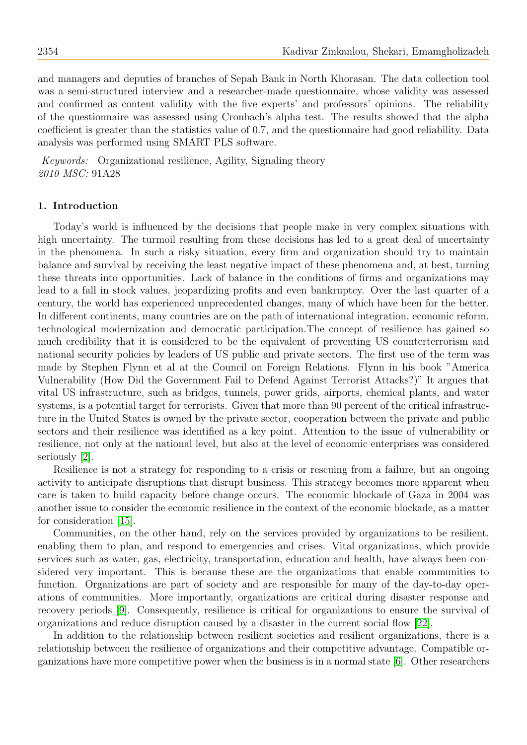and managers and deputies of branches of Sepah Bank in North Khorasan. The data collection tool was a semi-structured interview and a researcher-made questionnaire, whose validity was assessed and confirmed as content validity with the five experts' and professors' opinions. The reliability of the questionnaire was assessed using Cronbach's alpha test. The results showed that the alpha coefficient is greater than the statistics value of 0.7, and the questionnaire had good reliability. Data analysis was performed using SMART PLS software.

Keywords: Organizational resilience, Agility, Signaling theory 2010 MSC: 91A28

#### 1. Introduction

Today's world is influenced by the decisions that people make in very complex situations with high uncertainty. The turmoil resulting from these decisions has led to a great deal of uncertainty in the phenomena. In such a risky situation, every firm and organization should try to maintain balance and survival by receiving the least negative impact of these phenomena and, at best, turning these threats into opportunities. Lack of balance in the conditions of firms and organizations may lead to a fall in stock values, jeopardizing profits and even bankruptcy. Over the last quarter of a century, the world has experienced unprecedented changes, many of which have been for the better. In different continents, many countries are on the path of international integration, economic reform, technological modernization and democratic participation.The concept of resilience has gained so much credibility that it is considered to be the equivalent of preventing US counterterrorism and national security policies by leaders of US public and private sectors. The first use of the term was made by Stephen Flynn et al at the Council on Foreign Relations. Flynn in his book "America Vulnerability (How Did the Government Fail to Defend Against Terrorist Attacks?)" It argues that vital US infrastructure, such as bridges, tunnels, power grids, airports, chemical plants, and water systems, is a potential target for terrorists. Given that more than 90 percent of the critical infrastructure in the United States is owned by the private sector, cooperation between the private and public sectors and their resilience was identified as a key point. Attention to the issue of vulnerability or resilience, not only at the national level, but also at the level of economic enterprises was considered seriously [\[2\]](#page-12-0).

Resilience is not a strategy for responding to a crisis or rescuing from a failure, but an ongoing activity to anticipate disruptions that disrupt business. This strategy becomes more apparent when care is taken to build capacity before change occurs. The economic blockade of Gaza in 2004 was another issue to consider the economic resilience in the context of the economic blockade, as a matter for consideration [\[15\]](#page-12-1).

Communities, on the other hand, rely on the services provided by organizations to be resilient, enabling them to plan, and respond to emergencies and crises. Vital organizations, which provide services such as water, gas, electricity, transportation, education and health, have always been considered very important. This is because these are the organizations that enable communities to function. Organizations are part of society and are responsible for many of the day-to-day operations of communities. More importantly, organizations are critical during disaster response and recovery periods [\[9\]](#page-12-2). Consequently, resilience is critical for organizations to ensure the survival of organizations and reduce disruption caused by a disaster in the current social flow [\[22\]](#page-13-0).

In addition to the relationship between resilient societies and resilient organizations, there is a relationship between the resilience of organizations and their competitive advantage. Compatible organizations have more competitive power when the business is in a normal state [\[6\]](#page-12-3). Other researchers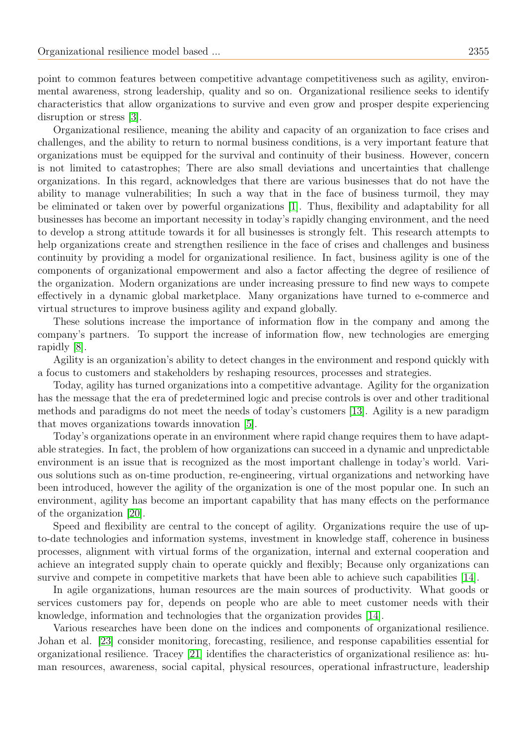point to common features between competitive advantage competitiveness such as agility, environmental awareness, strong leadership, quality and so on. Organizational resilience seeks to identify characteristics that allow organizations to survive and even grow and prosper despite experiencing disruption or stress [\[3\]](#page-12-4).

Organizational resilience, meaning the ability and capacity of an organization to face crises and challenges, and the ability to return to normal business conditions, is a very important feature that organizations must be equipped for the survival and continuity of their business. However, concern is not limited to catastrophes; There are also small deviations and uncertainties that challenge organizations. In this regard, acknowledges that there are various businesses that do not have the ability to manage vulnerabilities; In such a way that in the face of business turmoil, they may be eliminated or taken over by powerful organizations [\[1\]](#page-12-5). Thus, flexibility and adaptability for all businesses has become an important necessity in today's rapidly changing environment, and the need to develop a strong attitude towards it for all businesses is strongly felt. This research attempts to help organizations create and strengthen resilience in the face of crises and challenges and business continuity by providing a model for organizational resilience. In fact, business agility is one of the components of organizational empowerment and also a factor affecting the degree of resilience of the organization. Modern organizations are under increasing pressure to find new ways to compete effectively in a dynamic global marketplace. Many organizations have turned to e-commerce and virtual structures to improve business agility and expand globally.

These solutions increase the importance of information flow in the company and among the company's partners. To support the increase of information flow, new technologies are emerging rapidly [\[8\]](#page-12-6).

Agility is an organization's ability to detect changes in the environment and respond quickly with a focus to customers and stakeholders by reshaping resources, processes and strategies.

Today, agility has turned organizations into a competitive advantage. Agility for the organization has the message that the era of predetermined logic and precise controls is over and other traditional methods and paradigms do not meet the needs of today's customers [\[13\]](#page-12-7). Agility is a new paradigm that moves organizations towards innovation [\[5\]](#page-12-8).

Today's organizations operate in an environment where rapid change requires them to have adaptable strategies. In fact, the problem of how organizations can succeed in a dynamic and unpredictable environment is an issue that is recognized as the most important challenge in today's world. Various solutions such as on-time production, re-engineering, virtual organizations and networking have been introduced, however the agility of the organization is one of the most popular one. In such an environment, agility has become an important capability that has many effects on the performance of the organization [\[20\]](#page-12-9).

Speed and flexibility are central to the concept of agility. Organizations require the use of upto-date technologies and information systems, investment in knowledge staff, coherence in business processes, alignment with virtual forms of the organization, internal and external cooperation and achieve an integrated supply chain to operate quickly and flexibly; Because only organizations can survive and compete in competitive markets that have been able to achieve such capabilities [\[14\]](#page-12-10).

In agile organizations, human resources are the main sources of productivity. What goods or services customers pay for, depends on people who are able to meet customer needs with their knowledge, information and technologies that the organization provides [\[14\]](#page-12-10).

Various researches have been done on the indices and components of organizational resilience. Johan et al. [\[23\]](#page-13-1) consider monitoring, forecasting, resilience, and response capabilities essential for organizational resilience. Tracey [\[21\]](#page-13-2) identifies the characteristics of organizational resilience as: human resources, awareness, social capital, physical resources, operational infrastructure, leadership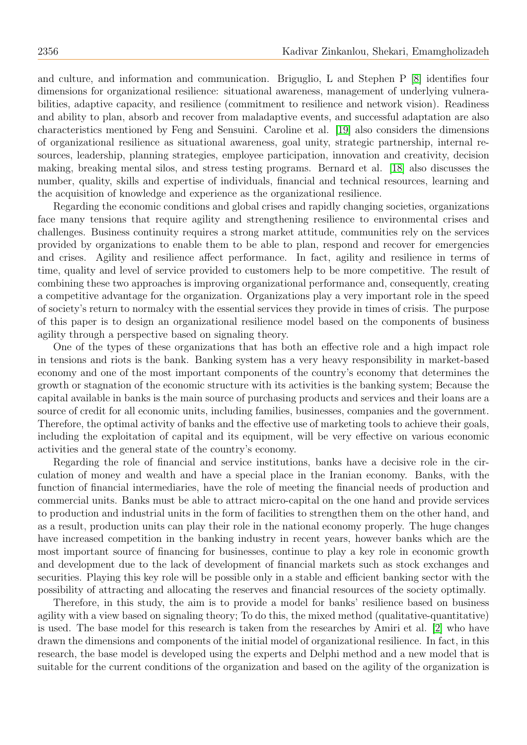and culture, and information and communication. Briguglio, L and Stephen P [\[8\]](#page-12-6) identifies four dimensions for organizational resilience: situational awareness, management of underlying vulnerabilities, adaptive capacity, and resilience (commitment to resilience and network vision). Readiness and ability to plan, absorb and recover from maladaptive events, and successful adaptation are also characteristics mentioned by Feng and Sensuini. Caroline et al. [\[19\]](#page-12-11) also considers the dimensions of organizational resilience as situational awareness, goal unity, strategic partnership, internal resources, leadership, planning strategies, employee participation, innovation and creativity, decision making, breaking mental silos, and stress testing programs. Bernard et al. [\[18\]](#page-12-12) also discusses the number, quality, skills and expertise of individuals, financial and technical resources, learning and the acquisition of knowledge and experience as the organizational resilience.

Regarding the economic conditions and global crises and rapidly changing societies, organizations face many tensions that require agility and strengthening resilience to environmental crises and challenges. Business continuity requires a strong market attitude, communities rely on the services provided by organizations to enable them to be able to plan, respond and recover for emergencies and crises. Agility and resilience affect performance. In fact, agility and resilience in terms of time, quality and level of service provided to customers help to be more competitive. The result of combining these two approaches is improving organizational performance and, consequently, creating a competitive advantage for the organization. Organizations play a very important role in the speed of society's return to normalcy with the essential services they provide in times of crisis. The purpose of this paper is to design an organizational resilience model based on the components of business agility through a perspective based on signaling theory.

One of the types of these organizations that has both an effective role and a high impact role in tensions and riots is the bank. Banking system has a very heavy responsibility in market-based economy and one of the most important components of the country's economy that determines the growth or stagnation of the economic structure with its activities is the banking system; Because the capital available in banks is the main source of purchasing products and services and their loans are a source of credit for all economic units, including families, businesses, companies and the government. Therefore, the optimal activity of banks and the effective use of marketing tools to achieve their goals, including the exploitation of capital and its equipment, will be very effective on various economic activities and the general state of the country's economy.

Regarding the role of financial and service institutions, banks have a decisive role in the circulation of money and wealth and have a special place in the Iranian economy. Banks, with the function of financial intermediaries, have the role of meeting the financial needs of production and commercial units. Banks must be able to attract micro-capital on the one hand and provide services to production and industrial units in the form of facilities to strengthen them on the other hand, and as a result, production units can play their role in the national economy properly. The huge changes have increased competition in the banking industry in recent years, however banks which are the most important source of financing for businesses, continue to play a key role in economic growth and development due to the lack of development of financial markets such as stock exchanges and securities. Playing this key role will be possible only in a stable and efficient banking sector with the possibility of attracting and allocating the reserves and financial resources of the society optimally.

Therefore, in this study, the aim is to provide a model for banks' resilience based on business agility with a view based on signaling theory; To do this, the mixed method (qualitative-quantitative) is used. The base model for this research is taken from the researches by Amiri et al. [\[2\]](#page-12-0) who have drawn the dimensions and components of the initial model of organizational resilience. In fact, in this research, the base model is developed using the experts and Delphi method and a new model that is suitable for the current conditions of the organization and based on the agility of the organization is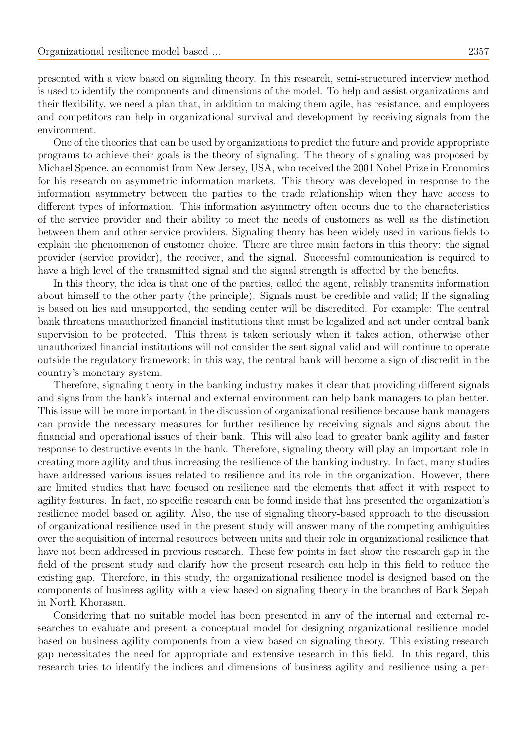presented with a view based on signaling theory. In this research, semi-structured interview method is used to identify the components and dimensions of the model. To help and assist organizations and their flexibility, we need a plan that, in addition to making them agile, has resistance, and employees and competitors can help in organizational survival and development by receiving signals from the environment.

One of the theories that can be used by organizations to predict the future and provide appropriate programs to achieve their goals is the theory of signaling. The theory of signaling was proposed by Michael Spence, an economist from New Jersey, USA, who received the 2001 Nobel Prize in Economics for his research on asymmetric information markets. This theory was developed in response to the information asymmetry between the parties to the trade relationship when they have access to different types of information. This information asymmetry often occurs due to the characteristics of the service provider and their ability to meet the needs of customers as well as the distinction between them and other service providers. Signaling theory has been widely used in various fields to explain the phenomenon of customer choice. There are three main factors in this theory: the signal provider (service provider), the receiver, and the signal. Successful communication is required to have a high level of the transmitted signal and the signal strength is affected by the benefits.

In this theory, the idea is that one of the parties, called the agent, reliably transmits information about himself to the other party (the principle). Signals must be credible and valid; If the signaling is based on lies and unsupported, the sending center will be discredited. For example: The central bank threatens unauthorized financial institutions that must be legalized and act under central bank supervision to be protected. This threat is taken seriously when it takes action, otherwise other unauthorized financial institutions will not consider the sent signal valid and will continue to operate outside the regulatory framework; in this way, the central bank will become a sign of discredit in the country's monetary system.

Therefore, signaling theory in the banking industry makes it clear that providing different signals and signs from the bank's internal and external environment can help bank managers to plan better. This issue will be more important in the discussion of organizational resilience because bank managers can provide the necessary measures for further resilience by receiving signals and signs about the financial and operational issues of their bank. This will also lead to greater bank agility and faster response to destructive events in the bank. Therefore, signaling theory will play an important role in creating more agility and thus increasing the resilience of the banking industry. In fact, many studies have addressed various issues related to resilience and its role in the organization. However, there are limited studies that have focused on resilience and the elements that affect it with respect to agility features. In fact, no specific research can be found inside that has presented the organization's resilience model based on agility. Also, the use of signaling theory-based approach to the discussion of organizational resilience used in the present study will answer many of the competing ambiguities over the acquisition of internal resources between units and their role in organizational resilience that have not been addressed in previous research. These few points in fact show the research gap in the field of the present study and clarify how the present research can help in this field to reduce the existing gap. Therefore, in this study, the organizational resilience model is designed based on the components of business agility with a view based on signaling theory in the branches of Bank Sepah in North Khorasan.

Considering that no suitable model has been presented in any of the internal and external researches to evaluate and present a conceptual model for designing organizational resilience model based on business agility components from a view based on signaling theory. This existing research gap necessitates the need for appropriate and extensive research in this field. In this regard, this research tries to identify the indices and dimensions of business agility and resilience using a per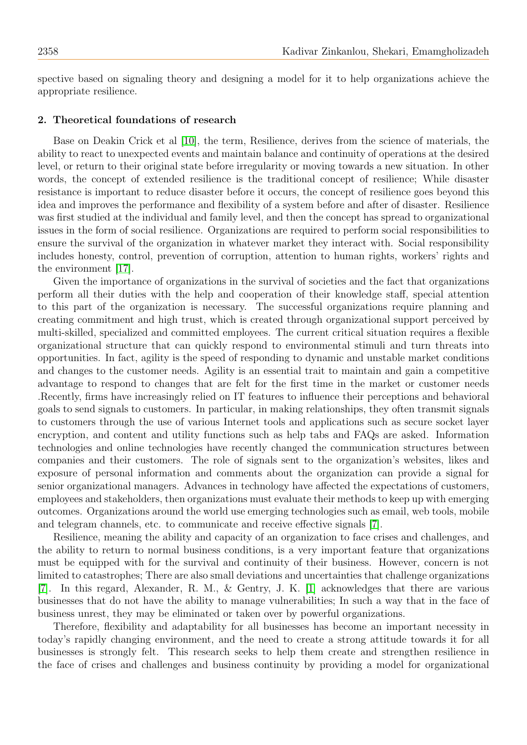spective based on signaling theory and designing a model for it to help organizations achieve the appropriate resilience.

#### 2. Theoretical foundations of research

Base on Deakin Crick et al [\[10\]](#page-12-13), the term, Resilience, derives from the science of materials, the ability to react to unexpected events and maintain balance and continuity of operations at the desired level, or return to their original state before irregularity or moving towards a new situation. In other words, the concept of extended resilience is the traditional concept of resilience; While disaster resistance is important to reduce disaster before it occurs, the concept of resilience goes beyond this idea and improves the performance and flexibility of a system before and after of disaster. Resilience was first studied at the individual and family level, and then the concept has spread to organizational issues in the form of social resilience. Organizations are required to perform social responsibilities to ensure the survival of the organization in whatever market they interact with. Social responsibility includes honesty, control, prevention of corruption, attention to human rights, workers' rights and the environment [\[17\]](#page-12-14).

Given the importance of organizations in the survival of societies and the fact that organizations perform all their duties with the help and cooperation of their knowledge staff, special attention to this part of the organization is necessary. The successful organizations require planning and creating commitment and high trust, which is created through organizational support perceived by multi-skilled, specialized and committed employees. The current critical situation requires a flexible organizational structure that can quickly respond to environmental stimuli and turn threats into opportunities. In fact, agility is the speed of responding to dynamic and unstable market conditions and changes to the customer needs. Agility is an essential trait to maintain and gain a competitive advantage to respond to changes that are felt for the first time in the market or customer needs .Recently, firms have increasingly relied on IT features to influence their perceptions and behavioral goals to send signals to customers. In particular, in making relationships, they often transmit signals to customers through the use of various Internet tools and applications such as secure socket layer encryption, and content and utility functions such as help tabs and FAQs are asked. Information technologies and online technologies have recently changed the communication structures between companies and their customers. The role of signals sent to the organization's websites, likes and exposure of personal information and comments about the organization can provide a signal for senior organizational managers. Advances in technology have affected the expectations of customers, employees and stakeholders, then organizations must evaluate their methods to keep up with emerging outcomes. Organizations around the world use emerging technologies such as email, web tools, mobile and telegram channels, etc. to communicate and receive effective signals [\[7\]](#page-12-15).

Resilience, meaning the ability and capacity of an organization to face crises and challenges, and the ability to return to normal business conditions, is a very important feature that organizations must be equipped with for the survival and continuity of their business. However, concern is not limited to catastrophes; There are also small deviations and uncertainties that challenge organizations [\[7\]](#page-12-15). In this regard, Alexander, R. M., & Gentry, J. K. [\[1\]](#page-12-5) acknowledges that there are various businesses that do not have the ability to manage vulnerabilities; In such a way that in the face of business unrest, they may be eliminated or taken over by powerful organizations.

Therefore, flexibility and adaptability for all businesses has become an important necessity in today's rapidly changing environment, and the need to create a strong attitude towards it for all businesses is strongly felt. This research seeks to help them create and strengthen resilience in the face of crises and challenges and business continuity by providing a model for organizational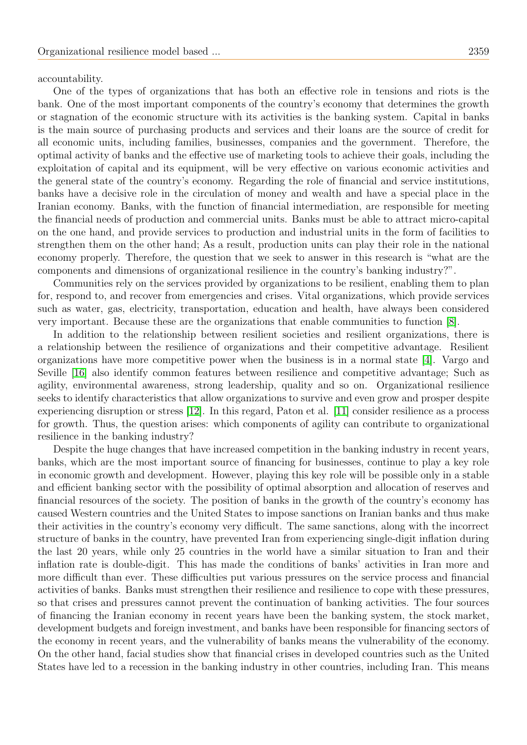accountability.

One of the types of organizations that has both an effective role in tensions and riots is the bank. One of the most important components of the country's economy that determines the growth or stagnation of the economic structure with its activities is the banking system. Capital in banks is the main source of purchasing products and services and their loans are the source of credit for all economic units, including families, businesses, companies and the government. Therefore, the optimal activity of banks and the effective use of marketing tools to achieve their goals, including the exploitation of capital and its equipment, will be very effective on various economic activities and the general state of the country's economy. Regarding the role of financial and service institutions, banks have a decisive role in the circulation of money and wealth and have a special place in the Iranian economy. Banks, with the function of financial intermediation, are responsible for meeting the financial needs of production and commercial units. Banks must be able to attract micro-capital on the one hand, and provide services to production and industrial units in the form of facilities to strengthen them on the other hand; As a result, production units can play their role in the national economy properly. Therefore, the question that we seek to answer in this research is "what are the components and dimensions of organizational resilience in the country's banking industry?".

Communities rely on the services provided by organizations to be resilient, enabling them to plan for, respond to, and recover from emergencies and crises. Vital organizations, which provide services such as water, gas, electricity, transportation, education and health, have always been considered very important. Because these are the organizations that enable communities to function [\[8\]](#page-12-6).

In addition to the relationship between resilient societies and resilient organizations, there is a relationship between the resilience of organizations and their competitive advantage. Resilient organizations have more competitive power when the business is in a normal state [\[4\]](#page-12-16). Vargo and Seville [\[16\]](#page-12-17) also identify common features between resilience and competitive advantage; Such as agility, environmental awareness, strong leadership, quality and so on. Organizational resilience seeks to identify characteristics that allow organizations to survive and even grow and prosper despite experiencing disruption or stress [\[12\]](#page-12-18). In this regard, Paton et al. [\[11\]](#page-12-19) consider resilience as a process for growth. Thus, the question arises: which components of agility can contribute to organizational resilience in the banking industry?

Despite the huge changes that have increased competition in the banking industry in recent years, banks, which are the most important source of financing for businesses, continue to play a key role in economic growth and development. However, playing this key role will be possible only in a stable and efficient banking sector with the possibility of optimal absorption and allocation of reserves and financial resources of the society. The position of banks in the growth of the country's economy has caused Western countries and the United States to impose sanctions on Iranian banks and thus make their activities in the country's economy very difficult. The same sanctions, along with the incorrect structure of banks in the country, have prevented Iran from experiencing single-digit inflation during the last 20 years, while only 25 countries in the world have a similar situation to Iran and their inflation rate is double-digit. This has made the conditions of banks' activities in Iran more and more difficult than ever. These difficulties put various pressures on the service process and financial activities of banks. Banks must strengthen their resilience and resilience to cope with these pressures, so that crises and pressures cannot prevent the continuation of banking activities. The four sources of financing the Iranian economy in recent years have been the banking system, the stock market, development budgets and foreign investment, and banks have been responsible for financing sectors of the economy in recent years, and the vulnerability of banks means the vulnerability of the economy. On the other hand, facial studies show that financial crises in developed countries such as the United States have led to a recession in the banking industry in other countries, including Iran. This means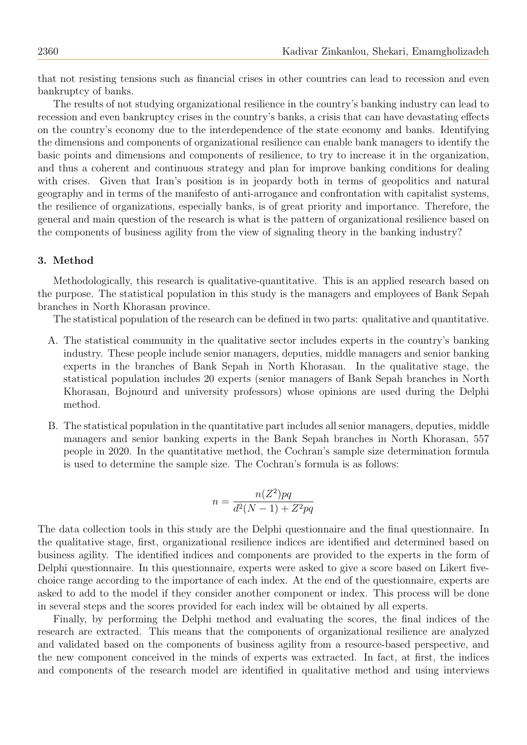that not resisting tensions such as financial crises in other countries can lead to recession and even bankruptcy of banks.

The results of not studying organizational resilience in the country's banking industry can lead to recession and even bankruptcy crises in the country's banks, a crisis that can have devastating effects on the country's economy due to the interdependence of the state economy and banks. Identifying the dimensions and components of organizational resilience can enable bank managers to identify the basic points and dimensions and components of resilience, to try to increase it in the organization, and thus a coherent and continuous strategy and plan for improve banking conditions for dealing with crises. Given that Iran's position is in jeopardy both in terms of geopolitics and natural geography and in terms of the manifesto of anti-arrogance and confrontation with capitalist systems, the resilience of organizations, especially banks, is of great priority and importance. Therefore, the general and main question of the research is what is the pattern of organizational resilience based on the components of business agility from the view of signaling theory in the banking industry?

## 3. Method

Methodologically, this research is qualitative-quantitative. This is an applied research based on the purpose. The statistical population in this study is the managers and employees of Bank Sepah branches in North Khorasan province.

The statistical population of the research can be defined in two parts: qualitative and quantitative.

- A. The statistical community in the qualitative sector includes experts in the country's banking industry. These people include senior managers, deputies, middle managers and senior banking experts in the branches of Bank Sepah in North Khorasan. In the qualitative stage, the statistical population includes 20 experts (senior managers of Bank Sepah branches in North Khorasan, Bojnourd and university professors) whose opinions are used during the Delphi method.
- B. The statistical population in the quantitative part includes all senior managers, deputies, middle managers and senior banking experts in the Bank Sepah branches in North Khorasan, 557 people in 2020. In the quantitative method, the Cochran's sample size determination formula is used to determine the sample size. The Cochran's formula is as follows:

$$
n = \frac{n(Z^2)pq}{d^2(N-1) + Z^2pq}
$$

The data collection tools in this study are the Delphi questionnaire and the final questionnaire. In the qualitative stage, first, organizational resilience indices are identified and determined based on business agility. The identified indices and components are provided to the experts in the form of Delphi questionnaire. In this questionnaire, experts were asked to give a score based on Likert fivechoice range according to the importance of each index. At the end of the questionnaire, experts are asked to add to the model if they consider another component or index. This process will be done in several steps and the scores provided for each index will be obtained by all experts.

Finally, by performing the Delphi method and evaluating the scores, the final indices of the research are extracted. This means that the components of organizational resilience are analyzed and validated based on the components of business agility from a resource-based perspective, and the new component conceived in the minds of experts was extracted. In fact, at first, the indices and components of the research model are identified in qualitative method and using interviews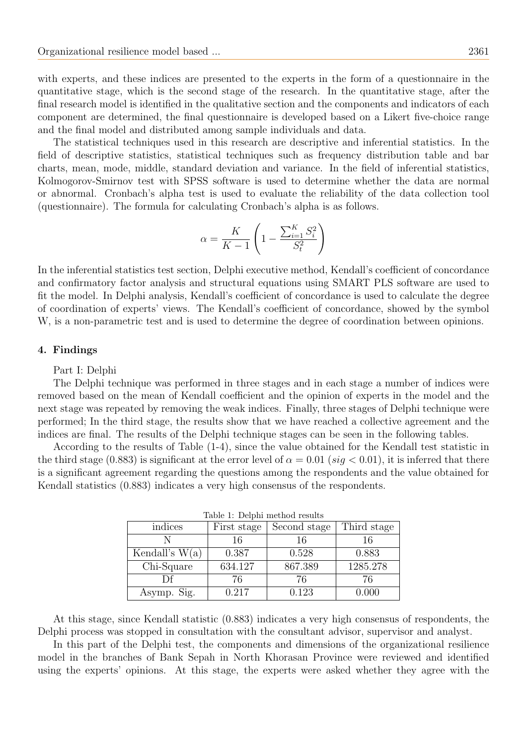with experts, and these indices are presented to the experts in the form of a questionnaire in the quantitative stage, which is the second stage of the research. In the quantitative stage, after the final research model is identified in the qualitative section and the components and indicators of each component are determined, the final questionnaire is developed based on a Likert five-choice range and the final model and distributed among sample individuals and data.

The statistical techniques used in this research are descriptive and inferential statistics. In the field of descriptive statistics, statistical techniques such as frequency distribution table and bar charts, mean, mode, middle, standard deviation and variance. In the field of inferential statistics, Kolmogorov-Smirnov test with SPSS software is used to determine whether the data are normal or abnormal. Cronbach's alpha test is used to evaluate the reliability of the data collection tool (questionnaire). The formula for calculating Cronbach's alpha is as follows.

$$
\alpha = \frac{K}{K-1} \left( 1 - \frac{\sum_{i=1}^{K} S_i^2}{S_t^2} \right)
$$

In the inferential statistics test section, Delphi executive method, Kendall's coefficient of concordance and confirmatory factor analysis and structural equations using SMART PLS software are used to fit the model. In Delphi analysis, Kendall's coefficient of concordance is used to calculate the degree of coordination of experts' views. The Kendall's coefficient of concordance, showed by the symbol W, is a non-parametric test and is used to determine the degree of coordination between opinions.

## 4. Findings

#### Part I: Delphi

The Delphi technique was performed in three stages and in each stage a number of indices were removed based on the mean of Kendall coefficient and the opinion of experts in the model and the next stage was repeated by removing the weak indices. Finally, three stages of Delphi technique were performed; In the third stage, the results show that we have reached a collective agreement and the indices are final. The results of the Delphi technique stages can be seen in the following tables.

According to the results of Table (1-4), since the value obtained for the Kendall test statistic in the third stage (0.883) is significant at the error level of  $\alpha = 0.01$  (sig  $< 0.01$ ), it is inferred that there is a significant agreement regarding the questions among the respondents and the value obtained for Kendall statistics (0.883) indicates a very high consensus of the respondents.

| indices          | First stage | Second stage | Third stage |
|------------------|-------------|--------------|-------------|
|                  | 16          | 16           |             |
| Kendall's $W(a)$ | 0.387       | 0.528        | 0.883       |
| Chi-Square       | 634.127     | 867.389      | 1285.278    |
|                  | 76          | 76           | 76          |
| Asymp. Sig.      | 0.217       | 0.123        | A 000       |

|  |  |  | Table 1: Delphi method results |  |
|--|--|--|--------------------------------|--|
|--|--|--|--------------------------------|--|

At this stage, since Kendall statistic (0.883) indicates a very high consensus of respondents, the Delphi process was stopped in consultation with the consultant advisor, supervisor and analyst.

In this part of the Delphi test, the components and dimensions of the organizational resilience model in the branches of Bank Sepah in North Khorasan Province were reviewed and identified using the experts' opinions. At this stage, the experts were asked whether they agree with the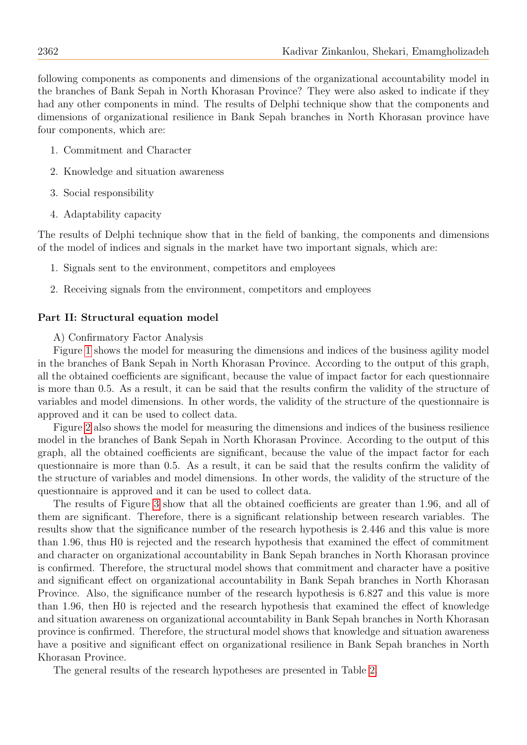following components as components and dimensions of the organizational accountability model in the branches of Bank Sepah in North Khorasan Province? They were also asked to indicate if they had any other components in mind. The results of Delphi technique show that the components and dimensions of organizational resilience in Bank Sepah branches in North Khorasan province have four components, which are:

- 1. Commitment and Character
- 2. Knowledge and situation awareness
- 3. Social responsibility
- 4. Adaptability capacity

The results of Delphi technique show that in the field of banking, the components and dimensions of the model of indices and signals in the market have two important signals, which are:

- 1. Signals sent to the environment, competitors and employees
- 2. Receiving signals from the environment, competitors and employees

## Part II: Structural equation model

A) Confirmatory Factor Analysis

Figure [1](#page-10-0) shows the model for measuring the dimensions and indices of the business agility model in the branches of Bank Sepah in North Khorasan Province. According to the output of this graph, all the obtained coefficients are significant, because the value of impact factor for each questionnaire is more than 0.5. As a result, it can be said that the results confirm the validity of the structure of variables and model dimensions. In other words, the validity of the structure of the questionnaire is approved and it can be used to collect data.

Figure [2](#page-10-1) also shows the model for measuring the dimensions and indices of the business resilience model in the branches of Bank Sepah in North Khorasan Province. According to the output of this graph, all the obtained coefficients are significant, because the value of the impact factor for each questionnaire is more than 0.5. As a result, it can be said that the results confirm the validity of the structure of variables and model dimensions. In other words, the validity of the structure of the questionnaire is approved and it can be used to collect data.

The results of Figure [3](#page-10-2) show that all the obtained coefficients are greater than 1.96, and all of them are significant. Therefore, there is a significant relationship between research variables. The results show that the significance number of the research hypothesis is 2.446 and this value is more than 1.96, thus H0 is rejected and the research hypothesis that examined the effect of commitment and character on organizational accountability in Bank Sepah branches in North Khorasan province is confirmed. Therefore, the structural model shows that commitment and character have a positive and significant effect on organizational accountability in Bank Sepah branches in North Khorasan Province. Also, the significance number of the research hypothesis is 6.827 and this value is more than 1.96, then H0 is rejected and the research hypothesis that examined the effect of knowledge and situation awareness on organizational accountability in Bank Sepah branches in North Khorasan province is confirmed. Therefore, the structural model shows that knowledge and situation awareness have a positive and significant effect on organizational resilience in Bank Sepah branches in North Khorasan Province.

The general results of the research hypotheses are presented in Table [2.](#page-11-0)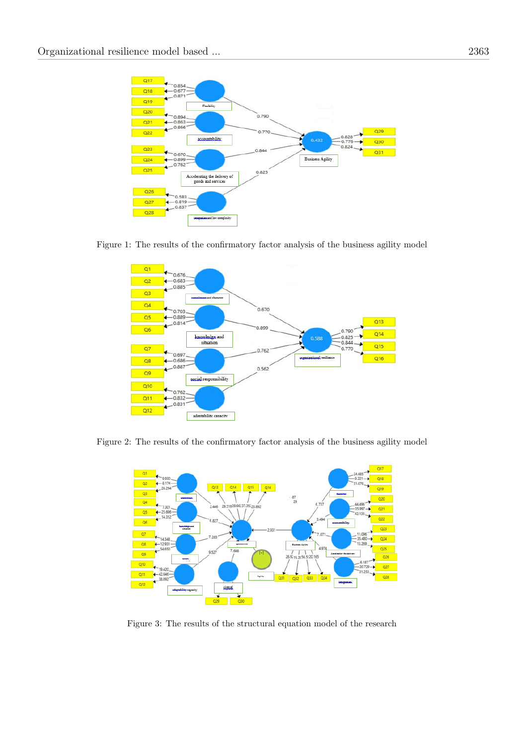

Figure 1: The results of the confirmatory factor analysis of the business agility model

<span id="page-10-0"></span>

Figure 2: The results of the confirmatory factor analysis of the business agility model

<span id="page-10-1"></span>

<span id="page-10-2"></span>Figure 3: The results of the structural equation model of the research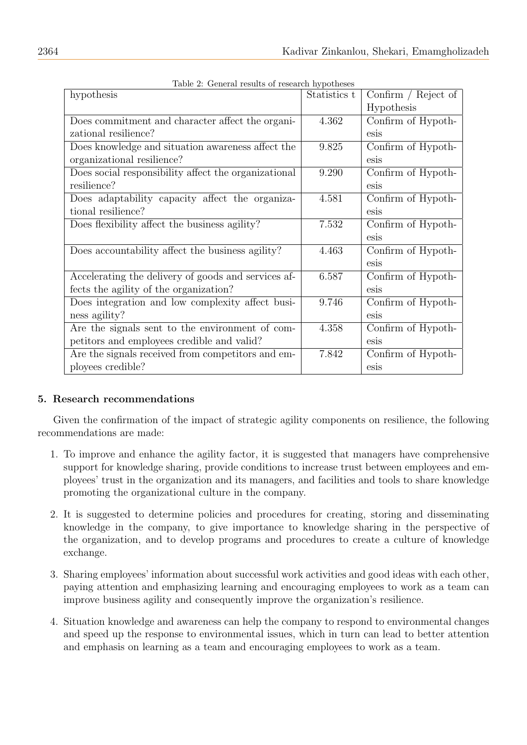<span id="page-11-0"></span>

| Table 2. General results of research hypotheses                    |              |                       |
|--------------------------------------------------------------------|--------------|-----------------------|
| hypothesis                                                         | Statistics t | Confirm $/$ Reject of |
|                                                                    |              | Hypothesis            |
| Does commitment and character affect the organi-                   | 4.362        | Confirm of Hypoth-    |
| zational resilience?                                               |              | esis                  |
| Does knowledge and situation awareness affect the                  | 9.825        | Confirm of Hypoth-    |
| organizational resilience?                                         |              | esis                  |
| Does social responsibility affect the organizational               | 9.290        | Confirm of Hypoth-    |
| resilience?                                                        |              | esis                  |
| Does adaptability capacity affect the organiza-                    | 4.581        | Confirm of Hypoth-    |
| tional resilience?                                                 |              | esis                  |
| Does flexibility affect the business agility?                      | 7.532        | Confirm of Hypoth-    |
|                                                                    |              | esis                  |
| Does accountability affect the business agility?                   | 4.463        | Confirm of Hypoth-    |
|                                                                    |              | esis                  |
| Accelerating the delivery of goods and services af-                | 6.587        | Confirm of Hypoth-    |
| fects the agility of the organization?                             |              | esis                  |
| Does integration and low complexity affect busi-                   | 9.746        | Confirm of Hypoth-    |
| ness agility?                                                      |              | esis                  |
| Are the signals sent to the environment of $\overline{\text{com}}$ | 4.358        | Confirm of Hypoth-    |
| petitors and employees credible and valid?                         |              | esis                  |
| Are the signals received from competitors and em-                  | 7.842        | Confirm of Hypoth-    |
| ployees credible?                                                  |              | esis                  |

Table 2: General results of research hypotheses

# 5. Research recommendations

Given the confirmation of the impact of strategic agility components on resilience, the following recommendations are made:

- 1. To improve and enhance the agility factor, it is suggested that managers have comprehensive support for knowledge sharing, provide conditions to increase trust between employees and employees' trust in the organization and its managers, and facilities and tools to share knowledge promoting the organizational culture in the company.
- 2. It is suggested to determine policies and procedures for creating, storing and disseminating knowledge in the company, to give importance to knowledge sharing in the perspective of the organization, and to develop programs and procedures to create a culture of knowledge exchange.
- 3. Sharing employees' information about successful work activities and good ideas with each other, paying attention and emphasizing learning and encouraging employees to work as a team can improve business agility and consequently improve the organization's resilience.
- 4. Situation knowledge and awareness can help the company to respond to environmental changes and speed up the response to environmental issues, which in turn can lead to better attention and emphasis on learning as a team and encouraging employees to work as a team.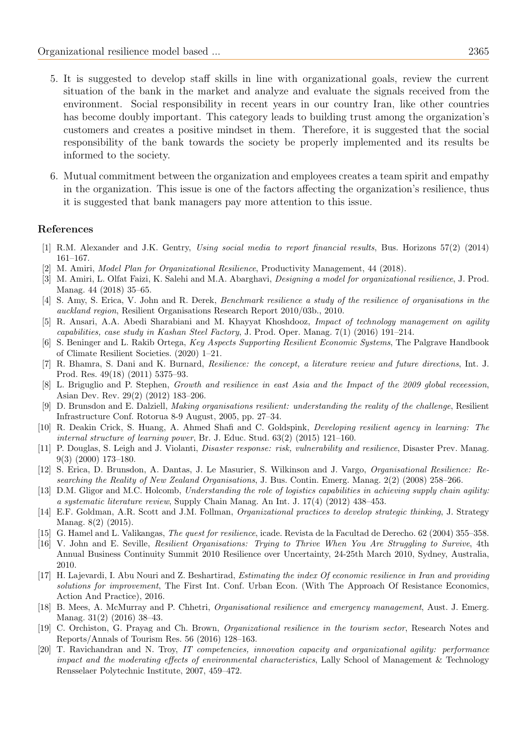- 5. It is suggested to develop staff skills in line with organizational goals, review the current situation of the bank in the market and analyze and evaluate the signals received from the environment. Social responsibility in recent years in our country Iran, like other countries has become doubly important. This category leads to building trust among the organization's customers and creates a positive mindset in them. Therefore, it is suggested that the social responsibility of the bank towards the society be properly implemented and its results be informed to the society.
- 6. Mutual commitment between the organization and employees creates a team spirit and empathy in the organization. This issue is one of the factors affecting the organization's resilience, thus it is suggested that bank managers pay more attention to this issue.

#### References

- <span id="page-12-5"></span>[1] R.M. Alexander and J.K. Gentry, Using social media to report financial results, Bus. Horizons 57(2) (2014) 161–167.
- <span id="page-12-0"></span>[2] M. Amiri, Model Plan for Organizational Resilience, Productivity Management, 44 (2018).
- <span id="page-12-4"></span>[3] M. Amiri, L. Olfat Faizi, K. Salehi and M.A. Abarghavi, *Designing a model for organizational resilience*, J. Prod. Manag. 44 (2018) 35–65.
- <span id="page-12-16"></span>[4] S. Amy, S. Erica, V. John and R. Derek, Benchmark resilience a study of the resilience of organisations in the auckland region, Resilient Organisations Research Report 2010/03b., 2010.
- <span id="page-12-8"></span>[5] R. Ansari, A.A. Abedi Sharabiani and M. Khayyat Khoshdooz, Impact of technology management on agility capabilities, case study in Kashan Steel Factory, J. Prod. Oper. Manag. 7(1) (2016) 191–214.
- <span id="page-12-3"></span>[6] S. Beninger and L. Rakib Ortega, Key Aspects Supporting Resilient Economic Systems, The Palgrave Handbook of Climate Resilient Societies. (2020) 1–21.
- <span id="page-12-15"></span>[7] R. Bhamra, S. Dani and K. Burnard, Resilience: the concept, a literature review and future directions, Int. J. Prod. Res. 49(18) (2011) 5375–93.
- <span id="page-12-6"></span>[8] L. Briguglio and P. Stephen, Growth and resilience in east Asia and the Impact of the 2009 global receession, Asian Dev. Rev. 29(2) (2012) 183–206.
- <span id="page-12-2"></span>D. Brunsdon and E. Dalziell, Making organisations resilient: understanding the reality of the challenge, Resilient Infrastructure Conf. Rotorua 8-9 August, 2005, pp. 27–34.
- <span id="page-12-13"></span>[10] R. Deakin Crick, S. Huang, A. Ahmed Shafi and C. Goldspink, *Developing resilient agency in learning: The* internal structure of learning power, Br. J. Educ. Stud. 63(2) (2015) 121–160.
- <span id="page-12-19"></span>[11] P. Douglas, S. Leigh and J. Violanti, *Disaster response: risk, vulnerability and resilience*, Disaster Prev. Manag. 9(3) (2000) 173–180.
- <span id="page-12-18"></span>[12] S. Erica, D. Brunsdon, A. Dantas, J. Le Masurier, S. Wilkinson and J. Vargo, Organisational Resilience: Researching the Reality of New Zealand Organisations, J. Bus. Contin. Emerg. Manag. 2(2) (2008) 258–266.
- <span id="page-12-7"></span>[13] D.M. Gligor and M.C. Holcomb, Understanding the role of logistics capabilities in achieving supply chain agility: a systematic literature review, Supply Chain Manag. An Int. J. 17(4) (2012) 438–453.
- <span id="page-12-10"></span>[14] E.F. Goldman, A.R. Scott and J.M. Follman, Organizational practices to develop strategic thinking, J. Strategy Manag. 8(2) (2015).
- <span id="page-12-1"></span>[15] G. Hamel and L. Valikangas, The quest for resilience, icade. Revista de la Facultad de Derecho. 62 (2004) 355–358.
- <span id="page-12-17"></span>[16] V. John and E. Seville, Resilient Organisations: Trying to Thrive When You Are Struggling to Survive, 4th Annual Business Continuity Summit 2010 Resilience over Uncertainty, 24-25th March 2010, Sydney, Australia, 2010.
- <span id="page-12-14"></span>[17] H. Lajevardi, I. Abu Nouri and Z. Beshartirad, Estimating the index Of economic resilience in Iran and providing solutions for improvement, The First Int. Conf. Urban Econ. (With The Approach Of Resistance Economics, Action And Practice), 2016.
- <span id="page-12-12"></span>[18] B. Mees, A. McMurray and P. Chhetri, Organisational resilience and emergency management, Aust. J. Emerg. Manag. 31(2) (2016) 38–43.
- <span id="page-12-11"></span>[19] C. Orchiston, G. Prayag and Ch. Brown, Organizational resilience in the tourism sector, Research Notes and Reports/Annals of Tourism Res. 56 (2016) 128–163.
- <span id="page-12-9"></span>[20] T. Ravichandran and N. Troy, IT competencies, innovation capacity and organizational agility: performance impact and the moderating effects of environmental characteristics, Lally School of Management & Technology Rensselaer Polytechnic Institute, 2007, 459–472.